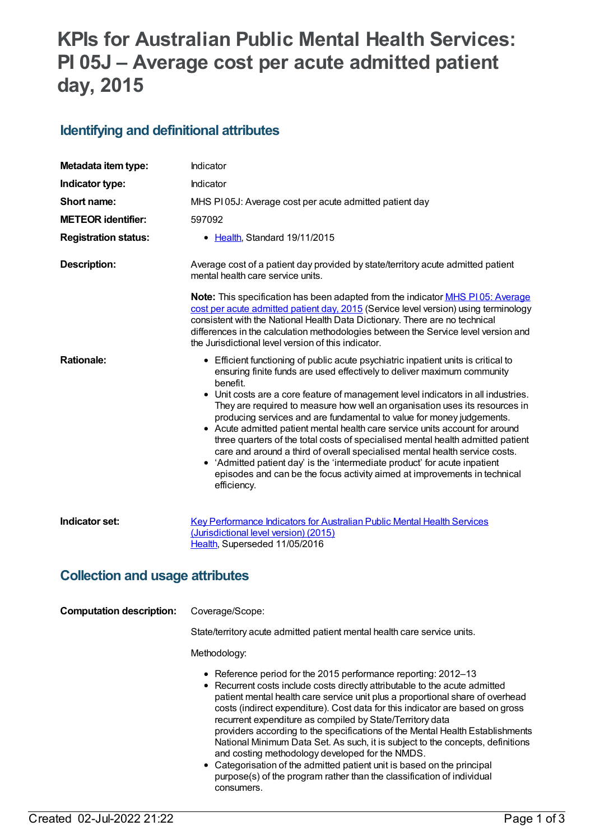# **KPIs for Australian Public Mental Health Services: PI 05J – Average cost per acute admitted patient day, 2015**

## **Identifying and definitional attributes**

| Metadata item type:                    | Indicator                                                                                                                                                                                                                                                                                                                                                                                                                                                                                                                                                                                                                                                                                                                                                                                                                                          |  |
|----------------------------------------|----------------------------------------------------------------------------------------------------------------------------------------------------------------------------------------------------------------------------------------------------------------------------------------------------------------------------------------------------------------------------------------------------------------------------------------------------------------------------------------------------------------------------------------------------------------------------------------------------------------------------------------------------------------------------------------------------------------------------------------------------------------------------------------------------------------------------------------------------|--|
| Indicator type:                        | Indicator                                                                                                                                                                                                                                                                                                                                                                                                                                                                                                                                                                                                                                                                                                                                                                                                                                          |  |
| Short name:                            | MHS PI05J: Average cost per acute admitted patient day                                                                                                                                                                                                                                                                                                                                                                                                                                                                                                                                                                                                                                                                                                                                                                                             |  |
| <b>METEOR identifier:</b>              | 597092                                                                                                                                                                                                                                                                                                                                                                                                                                                                                                                                                                                                                                                                                                                                                                                                                                             |  |
| <b>Registration status:</b>            | • Health, Standard 19/11/2015                                                                                                                                                                                                                                                                                                                                                                                                                                                                                                                                                                                                                                                                                                                                                                                                                      |  |
| <b>Description:</b>                    | Average cost of a patient day provided by state/territory acute admitted patient<br>mental health care service units.                                                                                                                                                                                                                                                                                                                                                                                                                                                                                                                                                                                                                                                                                                                              |  |
|                                        | <b>Note:</b> This specification has been adapted from the indicator <b>MHS P105: Average</b><br>cost per acute admitted patient day, 2015 (Service level version) using terminology<br>consistent with the National Health Data Dictionary. There are no technical<br>differences in the calculation methodologies between the Service level version and<br>the Jurisdictional level version of this indicator.                                                                                                                                                                                                                                                                                                                                                                                                                                    |  |
| <b>Rationale:</b>                      | • Efficient functioning of public acute psychiatric inpatient units is critical to<br>ensuring finite funds are used effectively to deliver maximum community<br>benefit.<br>• Unit costs are a core feature of management level indicators in all industries.<br>They are required to measure how well an organisation uses its resources in<br>producing services and are fundamental to value for money judgements.<br>• Acute admitted patient mental health care service units account for around<br>three quarters of the total costs of specialised mental health admitted patient<br>care and around a third of overall specialised mental health service costs.<br>• 'Admitted patient day' is the 'intermediate product' for acute inpatient<br>episodes and can be the focus activity aimed at improvements in technical<br>efficiency. |  |
| Indicator set:                         | <b>Key Performance Indicators for Australian Public Mental Health Services</b><br>(Jurisdictional level version) (2015)<br>Health, Superseded 11/05/2016                                                                                                                                                                                                                                                                                                                                                                                                                                                                                                                                                                                                                                                                                           |  |
| <b>Collection and usage attributes</b> |                                                                                                                                                                                                                                                                                                                                                                                                                                                                                                                                                                                                                                                                                                                                                                                                                                                    |  |
| <b>Computation description:</b>        | Coverage/Scope:                                                                                                                                                                                                                                                                                                                                                                                                                                                                                                                                                                                                                                                                                                                                                                                                                                    |  |
|                                        | State/territory acute admitted patient mental health care service units.                                                                                                                                                                                                                                                                                                                                                                                                                                                                                                                                                                                                                                                                                                                                                                           |  |
|                                        | Methodology:                                                                                                                                                                                                                                                                                                                                                                                                                                                                                                                                                                                                                                                                                                                                                                                                                                       |  |
|                                        | • Reference period for the 2015 performance reporting: 2012-13<br>• Recurrent costs include costs directly attributable to the acute admitted<br>patient mental health care service unit plus a proportional share of overhead<br>costs (indirect expenditure). Cost data for this indicator are based on gross<br>recurrent expenditure as compiled by State/Territory data<br>providers according to the specifications of the Mental Health Establishments<br>National Minimum Data Set. As such, it is subject to the concepts, definitions<br>and costing methodology developed for the NMDS.<br>• Categorisation of the admitted patient unit is based on the principal<br>purpose(s) of the program rather than the classification of individual<br>consumers.                                                                              |  |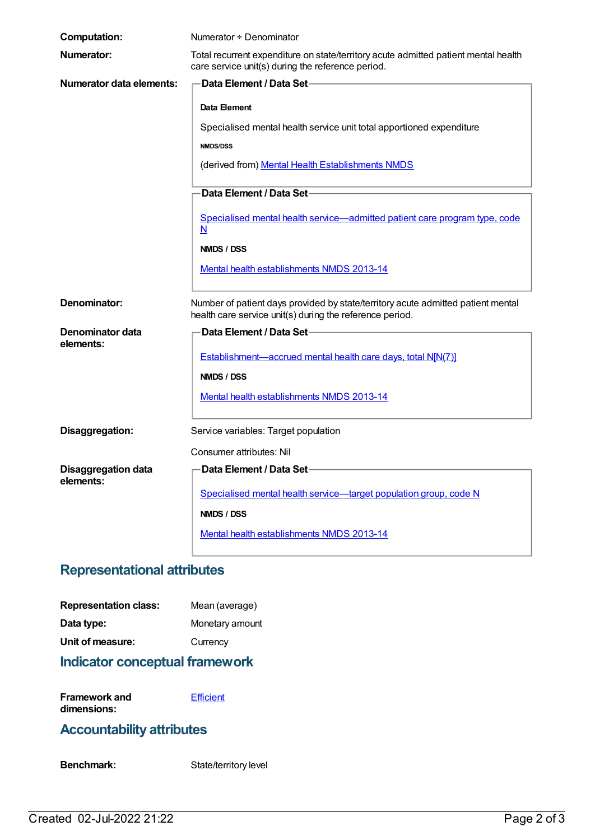| <b>Computation:</b>                     | Numerator + Denominator                                                                                                                      |  |
|-----------------------------------------|----------------------------------------------------------------------------------------------------------------------------------------------|--|
| Numerator:                              | Total recurrent expenditure on state/territory acute admitted patient mental health<br>care service unit(s) during the reference period.     |  |
| <b>Numerator data elements:</b>         | <b>Data Element / Data Set-</b>                                                                                                              |  |
|                                         | Data Element                                                                                                                                 |  |
|                                         | Specialised mental health service unit total apportioned expenditure                                                                         |  |
|                                         | <b>NMDS/DSS</b>                                                                                                                              |  |
|                                         | (derived from) Mental Health Establishments NMDS                                                                                             |  |
|                                         | Data Element / Data Set-                                                                                                                     |  |
|                                         | Specialised mental health service-admitted patient care program type, code<br>N                                                              |  |
|                                         | NMDS / DSS                                                                                                                                   |  |
|                                         | Mental health establishments NMDS 2013-14                                                                                                    |  |
| Denominator:                            | Number of patient days provided by state/territory acute admitted patient mental<br>health care service unit(s) during the reference period. |  |
| Denominator data                        | Data Element / Data Set-                                                                                                                     |  |
| elements:                               | Establishment—accrued mental health care days, total N[N(7)]                                                                                 |  |
|                                         | NMDS / DSS                                                                                                                                   |  |
|                                         | Mental health establishments NMDS 2013-14                                                                                                    |  |
|                                         |                                                                                                                                              |  |
| Disaggregation:                         | Service variables: Target population                                                                                                         |  |
|                                         | Consumer attributes: Nil                                                                                                                     |  |
| <b>Disaggregation data</b><br>elements: | Data Element / Data Set-                                                                                                                     |  |
|                                         | Specialised mental health service-target population group, code N                                                                            |  |
|                                         | NMDS / DSS                                                                                                                                   |  |
|                                         | Mental health establishments NMDS 2013-14                                                                                                    |  |

#### **Representational attributes**

| <b>Representation class:</b> | Mean (average)  |
|------------------------------|-----------------|
| Data type:                   | Monetary amount |
| Unit of measure:             | Currency        |

## **Indicator conceptual framework**

**Framework and dimensions: [Efficient](https://meteor.aihw.gov.au/content/584870)** 

## **Accountability attributes**

Benchmark: State/territory level